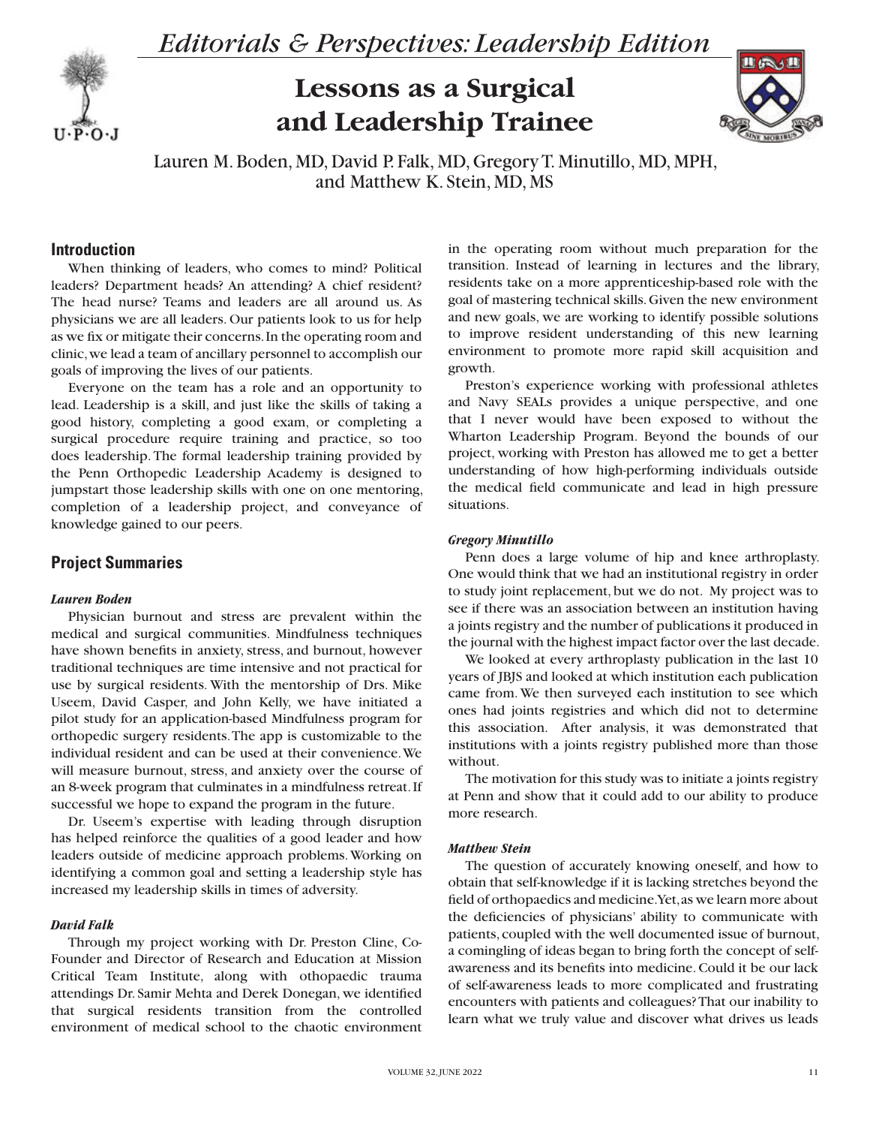

*Editorials & Perspectives: Leadership Edition*

# **Lessons as a Surgical and Leadership Trainee**



Lauren M. Boden, MD, David P. Falk, MD, Gregory T. Minutillo, MD, MPH, and Matthew K. Stein, MD, MS

# **Introduction**

When thinking of leaders, who comes to mind? Political leaders? Department heads? An attending? A chief resident? The head nurse? Teams and leaders are all around us. As physicians we are all leaders. Our patients look to us for help as we fix or mitigate their concerns. In the operating room and clinic, we lead a team of ancillary personnel to accomplish our goals of improving the lives of our patients.

Everyone on the team has a role and an opportunity to lead. Leadership is a skill, and just like the skills of taking a good history, completing a good exam, or completing a surgical procedure require training and practice, so too does leadership. The formal leadership training provided by the Penn Orthopedic Leadership Academy is designed to jumpstart those leadership skills with one on one mentoring, completion of a leadership project, and conveyance of knowledge gained to our peers.

# **Project Summaries**

# *Lauren Boden*

Physician burnout and stress are prevalent within the medical and surgical communities. Mindfulness techniques have shown benefits in anxiety, stress, and burnout, however traditional techniques are time intensive and not practical for use by surgical residents. With the mentorship of Drs. Mike Useem, David Casper, and John Kelly, we have initiated a pilot study for an application-based Mindfulness program for orthopedic surgery residents. The app is customizable to the individual resident and can be used at their convenience. We will measure burnout, stress, and anxiety over the course of an 8-week program that culminates in a mindfulness retreat. If successful we hope to expand the program in the future.

Dr. Useem's expertise with leading through disruption has helped reinforce the qualities of a good leader and how leaders outside of medicine approach problems. Working on identifying a common goal and setting a leadership style has increased my leadership skills in times of adversity.

#### *David Falk*

Through my project working with Dr. Preston Cline, Co-Founder and Director of Research and Education at Mission Critical Team Institute, along with othopaedic trauma attendings Dr. Samir Mehta and Derek Donegan, we identified that surgical residents transition from the controlled environment of medical school to the chaotic environment in the operating room without much preparation for the transition. Instead of learning in lectures and the library, residents take on a more apprenticeship-based role with the goal of mastering technical skills. Given the new environment and new goals, we are working to identify possible solutions to improve resident understanding of this new learning environment to promote more rapid skill acquisition and growth.

Preston's experience working with professional athletes and Navy SEALs provides a unique perspective, and one that I never would have been exposed to without the Wharton Leadership Program. Beyond the bounds of our project, working with Preston has allowed me to get a better understanding of how high-performing individuals outside the medical field communicate and lead in high pressure situations.

## *Gregory Minutillo*

Penn does a large volume of hip and knee arthroplasty. One would think that we had an institutional registry in order to study joint replacement, but we do not. My project was to see if there was an association between an institution having a joints registry and the number of publications it produced in the journal with the highest impact factor over the last decade.

We looked at every arthroplasty publication in the last 10 years of JBJS and looked at which institution each publication came from. We then surveyed each institution to see which ones had joints registries and which did not to determine this association. After analysis, it was demonstrated that institutions with a joints registry published more than those without.

The motivation for this study was to initiate a joints registry at Penn and show that it could add to our ability to produce more research.

## *Matthew Stein*

The question of accurately knowing oneself, and how to obtain that self-knowledge if it is lacking stretches beyond the field of orthopaedics and medicine. Yet, as we learn more about the deficiencies of physicians' ability to communicate with patients, coupled with the well documented issue of burnout, a comingling of ideas began to bring forth the concept of selfawareness and its benefits into medicine. Could it be our lack of self-awareness leads to more complicated and frustrating encounters with patients and colleagues? That our inability to learn what we truly value and discover what drives us leads